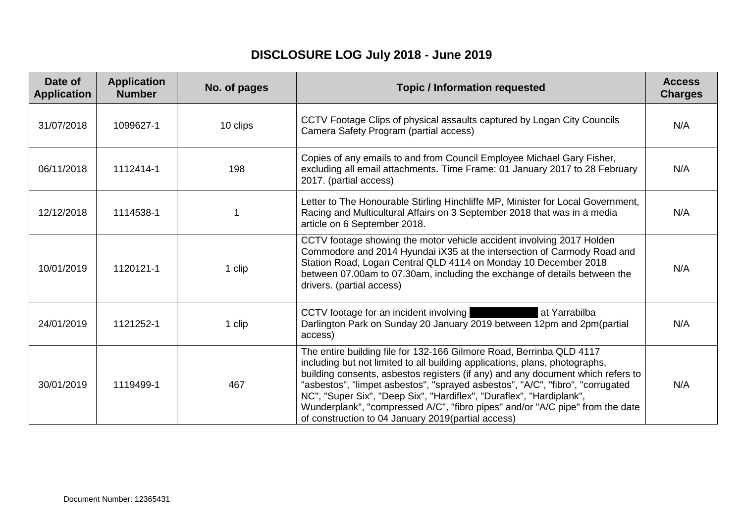## **DISCLOSURE LOG July 2018 - June 2019**

| Date of<br><b>Application</b> | <b>Application</b><br><b>Number</b> | No. of pages | <b>Topic / Information requested</b>                                                                                                                                                                                                                                                                                                                                                                                                                                                                                                    | <b>Access</b><br><b>Charges</b> |
|-------------------------------|-------------------------------------|--------------|-----------------------------------------------------------------------------------------------------------------------------------------------------------------------------------------------------------------------------------------------------------------------------------------------------------------------------------------------------------------------------------------------------------------------------------------------------------------------------------------------------------------------------------------|---------------------------------|
| 31/07/2018                    | 1099627-1                           | 10 clips     | CCTV Footage Clips of physical assaults captured by Logan City Councils<br>Camera Safety Program (partial access)                                                                                                                                                                                                                                                                                                                                                                                                                       | N/A                             |
| 06/11/2018                    | 1112414-1                           | 198          | Copies of any emails to and from Council Employee Michael Gary Fisher,<br>excluding all email attachments. Time Frame: 01 January 2017 to 28 February<br>2017. (partial access)                                                                                                                                                                                                                                                                                                                                                         | N/A                             |
| 12/12/2018                    | 1114538-1                           |              | Letter to The Honourable Stirling Hinchliffe MP, Minister for Local Government,<br>Racing and Multicultural Affairs on 3 September 2018 that was in a media<br>article on 6 September 2018.                                                                                                                                                                                                                                                                                                                                             | N/A                             |
| 10/01/2019                    | 1120121-1                           | 1 clip       | CCTV footage showing the motor vehicle accident involving 2017 Holden<br>Commodore and 2014 Hyundai iX35 at the intersection of Carmody Road and<br>Station Road, Logan Central QLD 4114 on Monday 10 December 2018<br>between 07.00am to 07.30am, including the exchange of details between the<br>drivers. (partial access)                                                                                                                                                                                                           | N/A                             |
| 24/01/2019                    | 1121252-1                           | 1 clip       | CCTV footage for an incident involving<br>at Yarrabilba<br>Darlington Park on Sunday 20 January 2019 between 12pm and 2pm(partial<br>access)                                                                                                                                                                                                                                                                                                                                                                                            | N/A                             |
| 30/01/2019                    | 1119499-1                           | 467          | The entire building file for 132-166 Gilmore Road, Berrinba QLD 4117<br>including but not limited to all building applications, plans, photographs,<br>building consents, asbestos registers (if any) and any document which refers to<br>"asbestos", "limpet asbestos", "sprayed asbestos", "A/C", "fibro", "corrugated<br>NC", "Super Six", "Deep Six", "Hardiflex", "Duraflex", "Hardiplank",<br>Wunderplank", "compressed A/C", "fibro pipes" and/or "A/C pipe" from the date<br>of construction to 04 January 2019(partial access) | N/A                             |